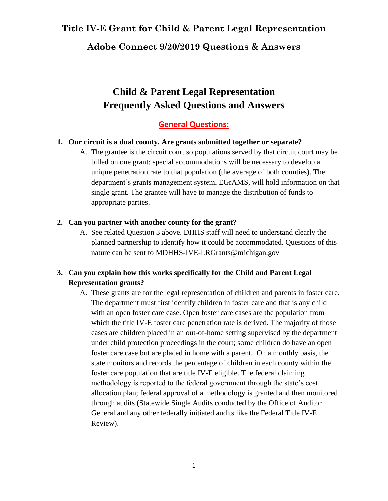## **Adobe Connect 9/20/2019 Questions & Answers**

# **Child & Parent Legal Representation Frequently Asked Questions and Answers**

## **General Questions:**

### **1. Our circuit is a dual county. Are grants submitted together or separate?**

A. The grantee is the circuit court so populations served by that circuit court may be billed on one grant; special accommodations will be necessary to develop a unique penetration rate to that population (the average of both counties). The department's grants management system, EGrAMS, will hold information on that single grant. The grantee will have to manage the distribution of funds to appropriate parties.

### **2. Can you partner with another county for the grant?**

A. See related Question 3 above. DHHS staff will need to understand clearly the planned partnership to identify how it could be accommodated. Questions of this nature can be sent to [MDHHS-IVE-LRGrants@michigan.gov](mailto:MDHHS-IVE-LRGrants@michigan.gov) 

### **3. Can you explain how this works specifically for the Child and Parent Legal Representation grants?**

A. These grants are for the legal representation of children and parents in foster care. The department must first identify children in foster care and that is any child with an open foster care case. Open foster care cases are the population from which the title IV-E foster care penetration rate is derived. The majority of those cases are children placed in an out-of-home setting supervised by the department under child protection proceedings in the court; some children do have an open foster care case but are placed in home with a parent. On a monthly basis, the state monitors and records the percentage of children in each county within the foster care population that are title IV-E eligible. The federal claiming methodology is reported to the federal government through the state's cost allocation plan; federal approval of a methodology is granted and then monitored through audits (Statewide Single Audits conducted by the Office of Auditor General and any other federally initiated audits like the Federal Title IV-E Review).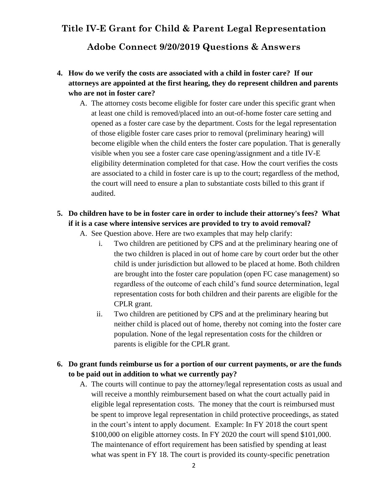**Adobe Connect 9/20/2019 Questions & Answers**

- **4. How do we verify the costs are associated with a child in foster care? If our attorneys are appointed at the first hearing, they do represent children and parents who are not in foster care?**
	- A. The attorney costs become eligible for foster care under this specific grant when at least one child is removed/placed into an out-of-home foster care setting and opened as a foster care case by the department. Costs for the legal representation of those eligible foster care cases prior to removal (preliminary hearing) will become eligible when the child enters the foster care population. That is generally visible when you see a foster care case opening/assignment and a title IV-E eligibility determination completed for that case. How the court verifies the costs are associated to a child in foster care is up to the court; regardless of the method, the court will need to ensure a plan to substantiate costs billed to this grant if audited.

### **5. Do children have to be in foster care in order to include their attorney's fees? What if it is a case where intensive services are provided to try to avoid removal?**

- A. See Question above. Here are two examples that may help clarify:
	- i. Two children are petitioned by CPS and at the preliminary hearing one of the two children is placed in out of home care by court order but the other child is under jurisdiction but allowed to be placed at home. Both children are brought into the foster care population (open FC case management) so regardless of the outcome of each child's fund source determination, legal representation costs for both children and their parents are eligible for the CPLR grant.
	- ii. Two children are petitioned by CPS and at the preliminary hearing but neither child is placed out of home, thereby not coming into the foster care population. None of the legal representation costs for the children or parents is eligible for the CPLR grant.

### **6. Do grant funds reimburse us for a portion of our current payments, or are the funds to be paid out in addition to what we currently pay?**

A. The courts will continue to pay the attorney/legal representation costs as usual and will receive a monthly reimbursement based on what the court actually paid in eligible legal representation costs. The money that the court is reimbursed must be spent to improve legal representation in child protective proceedings, as stated in the court's intent to apply document. Example: In FY 2018 the court spent \$100,000 on eligible attorney costs. In FY 2020 the court will spend \$101,000. The maintenance of effort requirement has been satisfied by spending at least what was spent in FY 18. The court is provided its county-specific penetration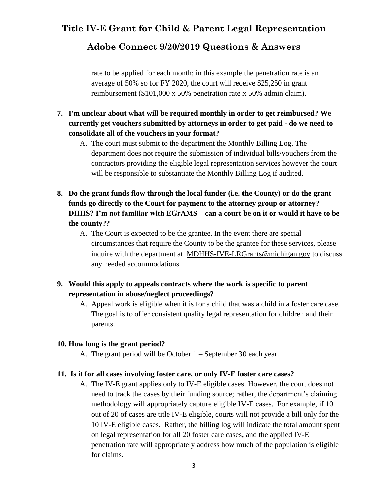## **Adobe Connect 9/20/2019 Questions & Answers**

rate to be applied for each month; in this example the penetration rate is an average of 50% so for FY 2020, the court will receive \$25,250 in grant reimbursement (\$101,000 x 50% penetration rate x 50% admin claim).

- **7. I'm unclear about what will be required monthly in order to get reimbursed? We currently get vouchers submitted by attorneys in order to get paid - do we need to consolidate all of the vouchers in your format?** 
	- A. The court must submit to the department the Monthly Billing Log. The department does not require the submission of individual bills/vouchers from the contractors providing the eligible legal representation services however the court will be responsible to substantiate the Monthly Billing Log if audited.
- **8. Do the grant funds flow through the local funder (i.e. the County) or do the grant funds go directly to the Court for payment to the attorney group or attorney? DHHS? I'm not familiar with EGrAMS – can a court be on it or would it have to be the county??**
	- A. The Court is expected to be the grantee. In the event there are special circumstances that require the County to be the grantee for these services, please inquire with the department at [MDHHS-IVE-LRGrants@michigan.gov](mailto:MDHHS-IVE-LRGrants@michigan.gov) to discuss any needed accommodations.
- **9. Would this apply to appeals contracts where the work is specific to parent representation in abuse/neglect proceedings?** 
	- A. Appeal work is eligible when it is for a child that was a child in a foster care case. The goal is to offer consistent quality legal representation for children and their parents.

### **10. How long is the grant period?**

A. The grant period will be October 1 – September 30 each year.

#### **11. Is it for all cases involving foster care, or only IV-E foster care cases?**

A. The IV-E grant applies only to IV-E eligible cases. However, the court does not need to track the cases by their funding source; rather, the department's claiming methodology will appropriately capture eligible IV-E cases. For example, if 10 out of 20 of cases are title IV-E eligible, courts will not provide a bill only for the 10 IV-E eligible cases. Rather, the billing log will indicate the total amount spent on legal representation for all 20 foster care cases, and the applied IV-E penetration rate will appropriately address how much of the population is eligible for claims.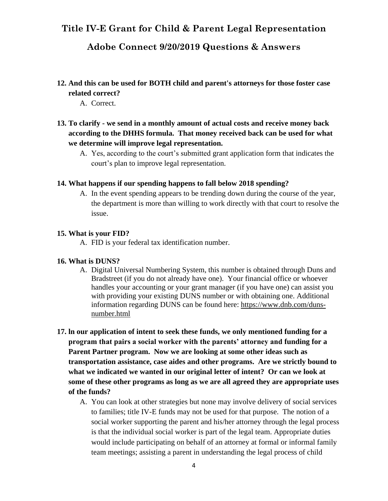## **Adobe Connect 9/20/2019 Questions & Answers**

- **12. And this can be used for BOTH child and parent's attorneys for those foster case related correct?** 
	- A. Correct.
- **13. To clarify - we send in a monthly amount of actual costs and receive money back according to the DHHS formula. That money received back can be used for what we determine will improve legal representation.** 
	- A. Yes, according to the court's submitted grant application form that indicates the court's plan to improve legal representation.

#### **14. What happens if our spending happens to fall below 2018 spending?**

A. In the event spending appears to be trending down during the course of the year, the department is more than willing to work directly with that court to resolve the issue.

#### **15. What is your FID?**

A. FID is your federal tax identification number.

#### **16. What is DUNS?**

- A. Digital Universal Numbering System, this number is obtained through Duns and Bradstreet (if you do not already have one). Your financial office or whoever handles your accounting or your grant manager (if you have one) can assist you with providing your existing DUNS number or with obtaining one. Additional information regarding DUNS can be found here: [https://www.dnb.com/duns](https://www.dnb.com/duns-number.html)[number.html](https://www.dnb.com/duns-number.html)
- **17. ln our application of intent to seek these funds, we only mentioned funding for a program that pairs a social worker with the parents' attorney and funding for a Parent Partner program. Now we are looking at some other ideas such as transportation assistance, case aides and other programs. Are we strictly bound to what we indicated we wanted in our original letter of intent? Or can we look at some of these other programs as long as we are all agreed they are appropriate uses of the funds?**
	- A. You can look at other strategies but none may involve delivery of social services to families; title IV-E funds may not be used for that purpose. The notion of a social worker supporting the parent and his/her attorney through the legal process is that the individual social worker is part of the legal team. Appropriate duties would include participating on behalf of an attorney at formal or informal family team meetings; assisting a parent in understanding the legal process of child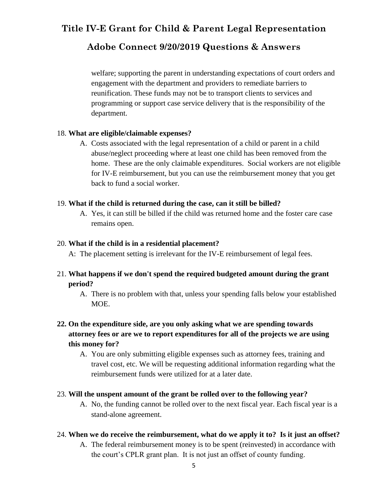## **Adobe Connect 9/20/2019 Questions & Answers**

welfare; supporting the parent in understanding expectations of court orders and engagement with the department and providers to remediate barriers to reunification. These funds may not be to transport clients to services and programming or support case service delivery that is the responsibility of the department.

### 18. **What are eligible/claimable expenses?**

A. Costs associated with the legal representation of a child or parent in a child abuse/neglect proceeding where at least one child has been removed from the home. These are the only claimable expenditures. Social workers are not eligible for IV-E reimbursement, but you can use the reimbursement money that you get back to fund a social worker.

### 19. **What if the child is returned during the case, can it still be billed?**

A. Yes, it can still be billed if the child was returned home and the foster care case remains open.

### 20. **What if the child is in a residential placement?**

A: The placement setting is irrelevant for the IV-E reimbursement of legal fees.

### 21. **What happens if we don't spend the required budgeted amount during the grant period?**

A. There is no problem with that, unless your spending falls below your established MOE.

## **22. On the expenditure side, are you only asking what we are spending towards attorney fees or are we to report expenditures for all of the projects we are using this money for?**

A. You are only submitting eligible expenses such as attorney fees, training and travel cost, etc. We will be requesting additional information regarding what the reimbursement funds were utilized for at a later date.

### 23. **Will the unspent amount of the grant be rolled over to the following year?**

A. No, the funding cannot be rolled over to the next fiscal year. Each fiscal year is a stand-alone agreement.

### 24. **When we do receive the reimbursement, what do we apply it to? Is it just an offset?**

A. The federal reimbursement money is to be spent (reinvested) in accordance with the court's CPLR grant plan. It is not just an offset of county funding.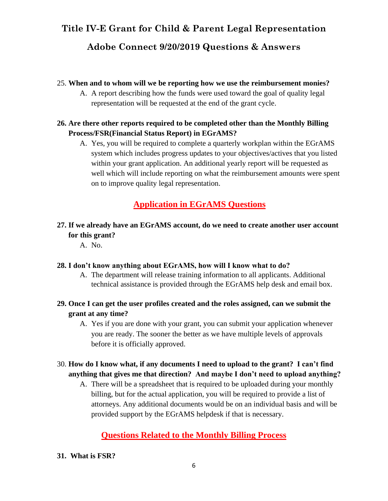## **Adobe Connect 9/20/2019 Questions & Answers**

### 25. **When and to whom will we be reporting how we use the reimbursement monies?**

A. A report describing how the funds were used toward the goal of quality legal representation will be requested at the end of the grant cycle.

### **26. Are there other reports required to be completed other than the Monthly Billing Process/FSR(Financial Status Report) in EGrAMS?**

A. Yes, you will be required to complete a quarterly workplan within the EGrAMS system which includes progress updates to your objectives/actives that you listed within your grant application. An additional yearly report will be requested as well which will include reporting on what the reimbursement amounts were spent on to improve quality legal representation.

## **Application in EGrAMS Questions**

## **27. If we already have an EGrAMS account, do we need to create another user account for this grant?**

A. No.

### **28. I don't know anything about EGrAMS, how will I know what to do?**

- A. The department will release training information to all applicants. Additional technical assistance is provided through the EGrAMS help desk and email box.
- **29. Once I can get the user profiles created and the roles assigned, can we submit the grant at any time?**
	- A. Yes if you are done with your grant, you can submit your application whenever you are ready. The sooner the better as we have multiple levels of approvals before it is officially approved.
- 30. **How do I know what, if any documents I need to upload to the grant? I can't find anything that gives me that direction? And maybe I don't need to upload anything?**
	- A. There will be a spreadsheet that is required to be uploaded during your monthly billing, but for the actual application, you will be required to provide a list of attorneys. Any additional documents would be on an individual basis and will be provided support by the EGrAMS helpdesk if that is necessary.

## **Questions Related to the Monthly Billing Process**

### **31. What is FSR?**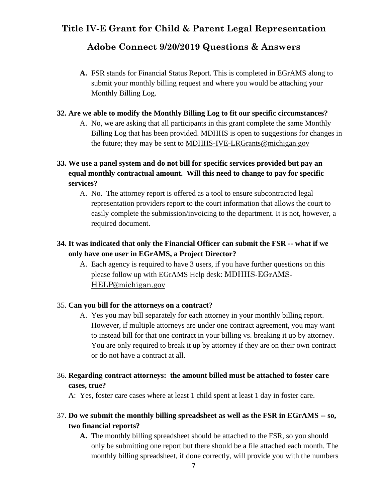## **Adobe Connect 9/20/2019 Questions & Answers**

**A.** FSR stands for Financial Status Report. This is completed in EGrAMS along to submit your monthly billing request and where you would be attaching your Monthly Billing Log.

### **32. Are we able to modify the Monthly Billing Log to fit our specific circumstances?**

A. No, we are asking that all participants in this grant complete the same Monthly Billing Log that has been provided. MDHHS is open to suggestions for changes in the future; they may be sent to [MDHHS-IVE-LRGrants@michigan.gov](mailto:MDHHS-IVE-LRGrants@michigan.gov) 

## **33. We use a panel system and do not bill for specific services provided but pay an equal monthly contractual amount. Will this need to change to pay for specific services?**

A. No. The attorney report is offered as a tool to ensure subcontracted legal representation providers report to the court information that allows the court to easily complete the submission/invoicing to the department. It is not, however, a required document.

## **34. It was indicated that only the Financial Officer can submit the FSR -- what if we only have one user in EGrAMS, a Project Director?**

A. Each agency is required to have 3 users, if you have further questions on this please follow up with EGrAMS Help desk: [MDHHS-EGrAMS-](mailto:MDHHS-EGrAMS-HELP@michigan.gov)[HELP@michigan.gov](mailto:MDHHS-EGrAMS-HELP@michigan.gov)

### 35. **Can you bill for the attorneys on a contract?**

A. Yes you may bill separately for each attorney in your monthly billing report. However, if multiple attorneys are under one contract agreement, you may want to instead bill for that one contract in your billing vs. breaking it up by attorney. You are only required to break it up by attorney if they are on their own contract or do not have a contract at all.

## 36. **Regarding contract attorneys: the amount billed must be attached to foster care cases, true?**

A: Yes, foster care cases where at least 1 child spent at least 1 day in foster care.

### 37. **Do we submit the monthly billing spreadsheet as well as the FSR in EGrAMS -- so, two financial reports?**

**A.** The monthly billing spreadsheet should be attached to the FSR, so you should only be submitting one report but there should be a file attached each month. The monthly billing spreadsheet, if done correctly, will provide you with the numbers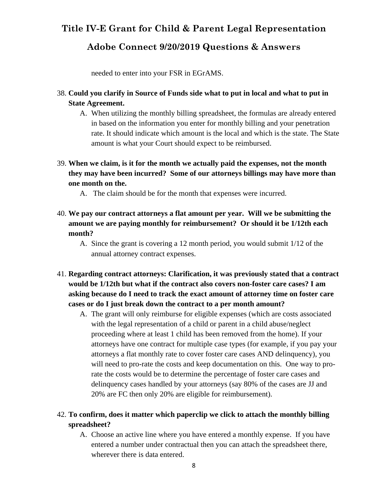## **Adobe Connect 9/20/2019 Questions & Answers**

needed to enter into your FSR in EGrAMS.

- 38. **Could you clarify in Source of Funds side what to put in local and what to put in State Agreement.** 
	- A. When utilizing the monthly billing spreadsheet, the formulas are already entered in based on the information you enter for monthly billing and your penetration rate. It should indicate which amount is the local and which is the state. The State amount is what your Court should expect to be reimbursed.
- 39. **When we claim, is it for the month we actually paid the expenses, not the month they may have been incurred? Some of our attorneys billings may have more than one month on the.**

A. The claim should be for the month that expenses were incurred.

- 40. **We pay our contract attorneys a flat amount per year. Will we be submitting the amount we are paying monthly for reimbursement? Or should it be 1/12th each month?**
	- A. Since the grant is covering a 12 month period, you would submit 1/12 of the annual attorney contract expenses.
- 41. **Regarding contract attorneys: Clarification, it was previously stated that a contract would be 1/12th but what if the contract also covers non-foster care cases? I am asking because do I need to track the exact amount of attorney time on foster care cases or do I just break down the contract to a per month amount?** 
	- A. The grant will only reimburse for eligible expenses (which are costs associated with the legal representation of a child or parent in a child abuse/neglect proceeding where at least 1 child has been removed from the home). If your attorneys have one contract for multiple case types (for example, if you pay your attorneys a flat monthly rate to cover foster care cases AND delinquency), you will need to pro-rate the costs and keep documentation on this. One way to prorate the costs would be to determine the percentage of foster care cases and delinquency cases handled by your attorneys (say 80% of the cases are JJ and 20% are FC then only 20% are eligible for reimbursement).

### 42. **To confirm, does it matter which paperclip we click to attach the monthly billing spreadsheet?**

A. Choose an active line where you have entered a monthly expense. If you have entered a number under contractual then you can attach the spreadsheet there, wherever there is data entered.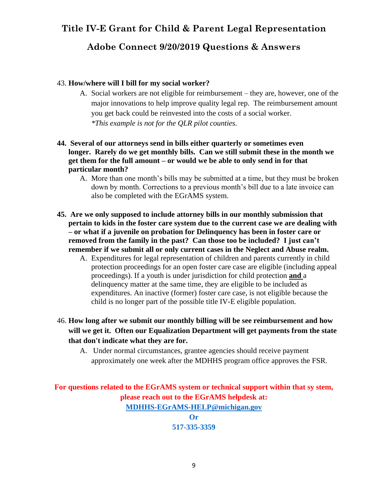## **Adobe Connect 9/20/2019 Questions & Answers**

#### 43. **How/where will I bill for my social worker?**

- A. Social workers are not eligible for reimbursement they are, however, one of the major innovations to help improve quality legal rep. The reimbursement amount you get back could be reinvested into the costs of a social worker. *\*This example is not for the QLR pilot counties.*
- **44. Several of our attorneys send in bills either quarterly or sometimes even longer. Rarely do we get monthly bills. Can we still submit these in the month we get them for the full amount – or would we be able to only send in for that particular month?** 
	- A. More than one month's bills may be submitted at a time, but they must be broken down by month. Corrections to a previous month's bill due to a late invoice can also be completed with the EGrAMS system.
- **45. Are we only supposed to include attorney bills in our monthly submission that pertain to kids in the foster care system due to the current case we are dealing with – or what if a juvenile on probation for Delinquency has been in foster care or removed from the family in the past? Can those too be included? I just can't remember if we submit all or only current cases in the Neglect and Abuse realm.**
	- A. Expenditures for legal representation of children and parents currently in child protection proceedings for an open foster care case are eligible (including appeal proceedings). If a youth is under jurisdiction for child protection **and** a delinquency matter at the same time, they are eligible to be included as expenditures. An inactive (former) foster care case, is not eligible because the child is no longer part of the possible title IV-E eligible population.
- 46. **How long after we submit our monthly billing will be see reimbursement and how will we get it. Often our Equalization Department will get payments from the state that don't indicate what they are for.**
	- A. Under normal circumstances, grantee agencies should receive payment approximately one week after the MDHHS program office approves the FSR.

**For questions related to the EGrAMS system or technical support within that sy stem, please reach out to the EGrAMS helpdesk at: [MDHHS-EGrAMS-HELP@michigan.gov](mailto:MDHHS-EGrAMS-HELP@michigan.gov) Or**

**517-335-3359**